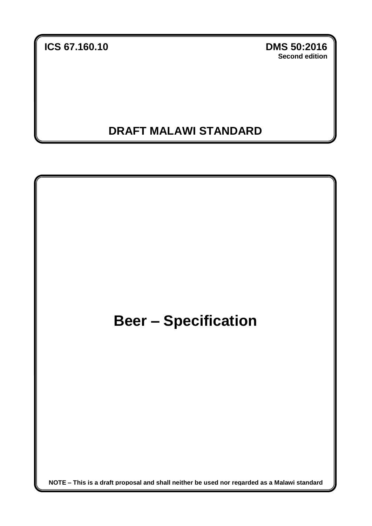**ICS 67.160.10 DMS 50:2016**

**Second edition**

## **DRAFT MALAWI STANDARD**

**a**

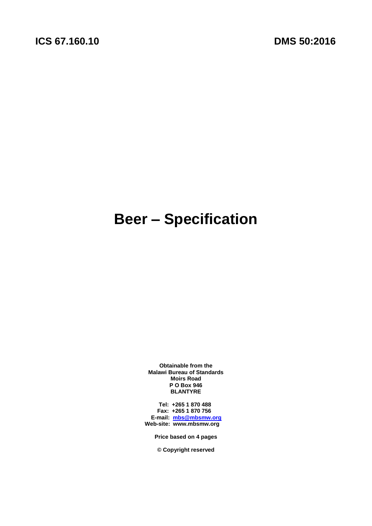# **Beer – Specification**

**Obtainable from the Malawi Bureau of Standards Moirs Road P O Box 946 BLANTYRE**

 **Tel: +265 1 870 488 Fax: +265 1 870 756 E-mail: [mbs@mbsmw.org](mailto:mbs@mbsmw.org) Web-site: www.mbsmw.org**

**Price based on 4 pages**

**© Copyright reserved**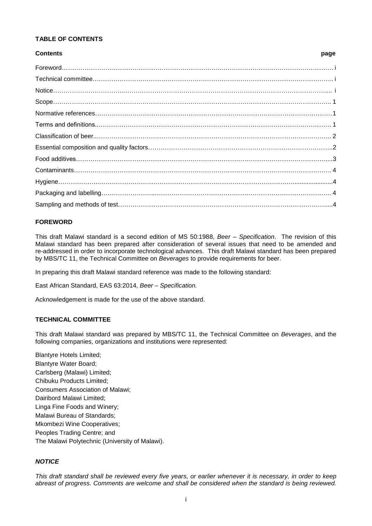#### **TABLE OF CONTENTS**

#### **Contents page**

#### <span id="page-2-0"></span>**FOREWORD**

This draft Malawi standard is a second edition of MS 50:1988, *Beer – Specification*. The revision of this Malawi standard has been prepared after consideration of several issues that need to be amended and re-addressed in order to incorporate technological advances. This draft Malawi standard has been prepared by MBS/TC 11, the Technical Committee on *Beverages* to provide requirements for beer.

In preparing this draft Malawi standard reference was made to the following standard:

East African Standard, EAS 63:2014, *Beer – Specification.*

Acknowledgement is made for the use of the above standard.

#### <span id="page-2-1"></span>**TECHNICAL COMMITTEE**

This draft Malawi standard was prepared by MBS/TC 11, the Technical Committee on *Beverages*, and the following companies, organizations and institutions were represented:

<span id="page-2-2"></span>Blantyre Hotels Limited; Blantyre Water Board; Carlsberg (Malawi) Limited; Chibuku Products Limited; Consumers Association of Malawi; Dairibord Malawi Limited; Linga Fine Foods and Winery; Malawi Bureau of Standards; Mkombezi Wine Cooperatives; Peoples Trading Centre; and The Malawi Polytechnic (University of Malawi).

#### *NOTICE*

*This draft standard shall be reviewed every five years, or earlier whenever it is necessary, in order to keep abreast of progress. Comments are welcome and shall be considered when the standard is being reviewed.*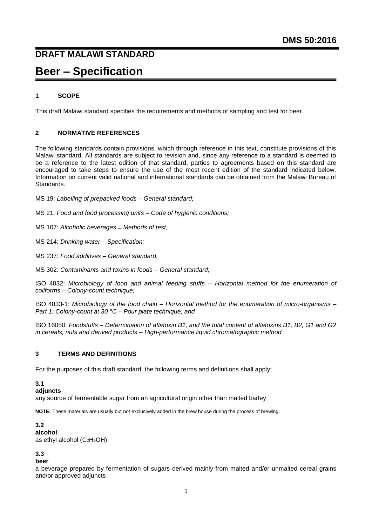### **DRAFT MALAWI STANDARD**

## **Beer – Specification**

#### <span id="page-3-0"></span>**1 SCOPE**

This draft Malawi standard specifies the requirements and methods of sampling and test for beer.

#### <span id="page-3-1"></span>**2 NORMATIVE REFERENCES**

The following standards contain provisions, which through reference in this text, constitute provisions of this Malawi standard. All standards are subject to revision and, since any reference to a standard is deemed to be a reference to the latest edition of that standard, parties to agreements based on this standard are encouraged to take steps to ensure the use of the most recent edition of the standard indicated below. Information on current valid national and international standards can be obtained from the Malawi Bureau of Standards.

MS 19: *Labelling of prepacked foods – General standard;*

MS 21: *Food and food processing units – Code of hygienic conditions;*

MS 107: *Alcoholic beverages ̶ Methods of test;*

MS 214: *Drinking water – Specification;*

MS 237: *Food additives – General standard.*

MS 302: *Contaminants and toxins in foods – General standard;*

ISO 4832: *Microbiology of food and animal feeding stuffs – Horizontal method for the enumeration of coliforms – Colony-count technique;*

ISO 4833-1: *Microbiology of the food chain – Horizontal method for the enumeration of micro-organisms – Part 1: Colony-count at 30 °C – Pour plate technique; and*

ISO 16050: *Foodstuffs – Determination of aflatoxin B1, and the total content of aflatoxins B1, B2, G1 and G2 in cereals, nuts and derived products – High-performance liquid chromatographic method.*

### <span id="page-3-2"></span>**3 TERMS AND DEFINITIONS**

For the purposes of this draft standard, the following terms and definitions shall apply;

#### **3.1**

**adjuncts**

any source of fermentable sugar from an agricultural origin other than malted barley

**NOTE:** These materials are usually but not exclusively added in the brew house during the process of brewing.

#### **3.2 alcohol** as ethyl alcohol (C2H5OH)

#### **3.3**

**beer**

a beverage prepared by fermentation of sugars derived mainly from malted and/or unmalted cereal grains and/or approved adjuncts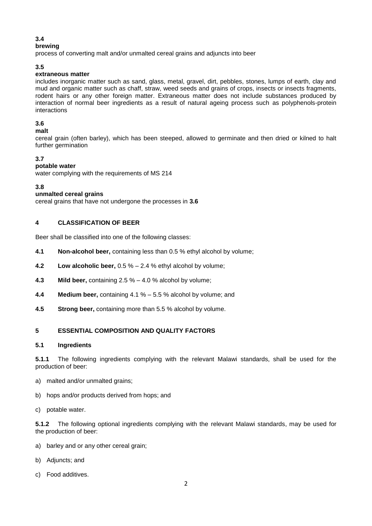#### **3.4**

#### **brewing**

process of converting malt and/or unmalted cereal grains and adjuncts into beer

#### **3.5**

#### **extraneous matter**

includes inorganic matter such as sand, glass, metal, gravel, dirt, pebbles, stones, lumps of earth, clay and mud and organic matter such as chaff, straw, weed seeds and grains of crops, insects or insects fragments, rodent hairs or any other foreign matter. Extraneous matter does not include substances produced by interaction of normal beer ingredients as a result of natural ageing process such as polyphenols-protein interactions

#### **3.6**

#### **malt**

cereal grain (often barley), which has been steeped, allowed to germinate and then dried or kilned to halt further germination

#### **3.7**

#### **potable water**

water complying with the requirements of MS 214

#### **3.8**

#### **unmalted cereal grains**

cereal grains that have not undergone the processes in **3.6**

#### <span id="page-4-0"></span>**4 CLASSIFICATION OF BEER**

Beer shall be classified into one of the following classes:

- **4.1 Non-alcohol beer,** containing less than 0.5 % ethyl alcohol by volume;
- **4.2 Low alcoholic beer,** 0.5 % 2.4 % ethyl alcohol by volume;
- **4.3 Mild beer,** containing 2.5 % 4.0 % alcohol by volume;
- **4.4 Medium beer,** containing 4.1 % 5.5 % alcohol by volume; and
- **4.5 Strong beer,** containing more than 5.5 % alcohol by volume.

#### **5 ESSENTIAL COMPOSITION AND QUALITY FACTORS**

#### **5.1 Ingredients**

**5.1.1** The following ingredients complying with the relevant Malawi standards, shall be used for the production of beer:

- a) malted and/or unmalted grains;
- b) hops and/or products derived from hops; and
- c) potable water.

**5.1.2** The following optional ingredients complying with the relevant Malawi standards, may be used for the production of beer:

- a) barley and or any other cereal grain;
- b) Adjuncts; and
- c) Food additives.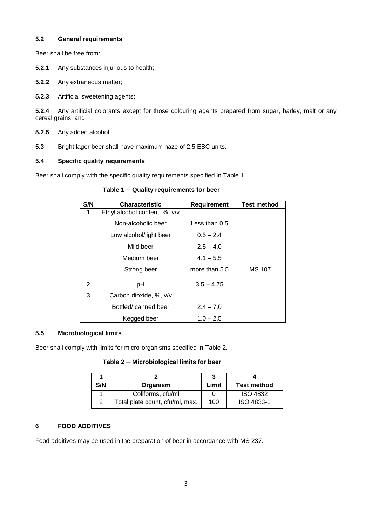#### **5.2 General requirements**

Beer shall be free from:

- **5.2.1** Any substances injurious to health;
- **5.2.2** Any extraneous matter;
- **5.2.3** Artificial sweetening agents;

**5.2.4** Any artificial colorants except for those colouring agents prepared from sugar, barley, malt or any cereal grains; and

- **5.2.5** Any added alcohol.
- **5.3** Bright lager beer shall have maximum haze of 2.5 EBC units.

#### **5.4 Specific quality requirements**

Beer shall comply with the specific quality requirements specified in Table 1.

#### **Table 1** ─ **Quality requirements for beer**

| S/N            | <b>Characteristic</b>         | Requirement     | <b>Test method</b> |
|----------------|-------------------------------|-----------------|--------------------|
| 1              | Ethyl alcohol content, %, v/v |                 |                    |
|                | Non-alcoholic beer            | Less than $0.5$ |                    |
|                | Low alcohol/light beer        | $0.5 - 2.4$     |                    |
|                | Mild beer                     | $2.5 - 4.0$     |                    |
|                | Medium beer                   | $4.1 - 5.5$     |                    |
|                | Strong beer                   | more than 5.5   | <b>MS 107</b>      |
| $\overline{2}$ | рH                            | $3.5 - 4.75$    |                    |
| 3              | Carbon dioxide, %, v/v        |                 |                    |
|                | Bottled/canned beer           | $2.4 - 7.0$     |                    |
|                | Kegged beer                   | $1.0 - 2.5$     |                    |

#### **5.5 Microbiological limits**

Beer shall comply with limits for micro-organisms specified in Table 2.

**Table 2** ─ **Microbiological limits for beer**

| S/N | Organism                        | Limit | <b>Test method</b> |
|-----|---------------------------------|-------|--------------------|
|     | Coliforms, cfu/ml               |       | <b>ISO 4832</b>    |
|     | Total plate count, cfu/ml, max. | 100   | ISO 4833-1         |

#### **6 FOOD ADDITIVES**

Food additives may be used in the preparation of beer in accordance with MS 237.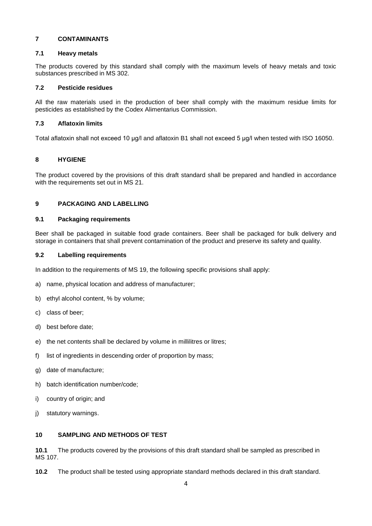#### **7 CONTAMINANTS**

#### **7.1 Heavy metals**

The products covered by this standard shall comply with the maximum levels of heavy metals and toxic substances prescribed in MS 302.

#### **7.2 Pesticide residues**

All the raw materials used in the production of beer shall comply with the maximum residue limits for pesticides as established by the Codex Alimentarius Commission.

#### **7.3 Aflatoxin limits**

Total aflatoxin shall not exceed 10 μg/l and aflatoxin B1 shall not exceed 5 μg/l when tested with ISO 16050.

#### <span id="page-6-0"></span>**8 HYGIENE**

The product covered by the provisions of this draft standard shall be prepared and handled in accordance with the requirements set out in MS 21.

#### **9 PACKAGING AND LABELLING**

#### **9.1 Packaging requirements**

Beer shall be packaged in suitable food grade containers. Beer shall be packaged for bulk delivery and storage in containers that shall prevent contamination of the product and preserve its safety and quality.

#### **9.2 Labelling requirements**

In addition to the requirements of MS 19, the following specific provisions shall apply:

- a) name, physical location and address of manufacturer;
- b) ethyl alcohol content, % by volume;
- c) class of beer;
- d) best before date;
- e) the net contents shall be declared by volume in millilitres or litres;
- f) list of ingredients in descending order of proportion by mass;
- g) date of manufacture;
- h) batch identification number/code;
- i) country of origin; and
- j) statutory warnings.

#### **10 SAMPLING AND METHODS OF TEST**

**10.1** The products covered by the provisions of this draft standard shall be sampled as prescribed in MS 107.

**10.2** The product shall be tested using appropriate standard methods declared in this draft standard.